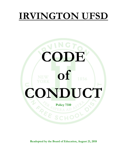## **IRVINGTON UFSD**

# **CODE of CONDUCT Policy 7310**

**Readopted by the Board of Education, August 21, 2018**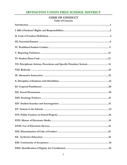### **IRVINGTON UNION FREE SCHOOL DISTRICT**

#### **CODE OF CONDUCT**

**Table of Contents**

| VII. Disciplinary Actions, Procedures and Specific Penalties/Actions 14 |
|-------------------------------------------------------------------------|
|                                                                         |
|                                                                         |
|                                                                         |
|                                                                         |
|                                                                         |
|                                                                         |
|                                                                         |
|                                                                         |
|                                                                         |
|                                                                         |
|                                                                         |
|                                                                         |
|                                                                         |
|                                                                         |
|                                                                         |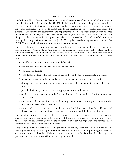#### **INTRODUCTION**

The Irvington Union Free School District is committed to creating and maintaining high standards of education for students in the schools. The District believes that order and discipline are essential to effective education. Maintaining a supportive orderly educational environment requires everyone in the school community play a role in contributing to the development of responsible and productive citizens. It also requires the development and implementation of a code of conduct that clearly defines individual responsibilities, describes unacceptable behavior, and provides a procedural framework for disciplinary decisions regarding inappropriate behavior or misconduct. This Code of Conduct was developed to comply with the mandated Project SAVE legislation and the Dignity for all Students Act ("DASA"); we should all be aware of its important components.

The District believes that order and discipline must be a shared responsibility between school, home and community. This Code of Conduct was developed in collaboration with student, teacher, administrator and parent organizations, the building level site committees, school safety personnel and other Board-approved school personnel. Finally, it is our belief that, to be effective, such a Code must:

- identify, recognize and promote acceptable behavior;
- identify, recognize and prevent unacceptable behavior;
- promote self-discipline;
- consider the welfare of the individual as well as that of the school community as a whole;
- foster a close working relationship between parents/guardians and the school staff,
- distinguish between minor and serious offenses, as well as between first time and repeated offenses;
- provide disciplinary responses that are appropriate to the misbehavior;
- outline procedures to ensure that the Code is administered in a way that is fair, firm, reasonable, and consistent;
- encourage a high regard for every student's right to reasonable hearing procedures and due process when accused of misconduct;
- comply with the provisions of federal, state and local laws, as well as the guidelines and directives of the New York State Department of Education and the Board of Regents.

The Board of Education is responsible for ensuring that essential regulations are established and adequate discipline is maintained in the operation of the schools to effectively promote safety, as well as the social and educational growth of the students. Administrative regulations are developed and enforced by the school administration and staff.

The parent/guardian is expected to assume primary responsibility for control of his or her child. The parent/guardian may be called upon to cooperate actively with the school in providing the necessary structure to promote his or her child's social and educational growth. To this end, a high degree of parent-school communication will be fostered by the school.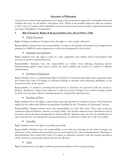#### **Statement of Philosophy**

Our goal as an educational organization is to begin with an instructive approach to discipline and teach students that they can all achieve and behave well. When at all possible, behaviors that are contrary to this Code of Conduct will be identified, and constructive interventions will be implemented before moving to disciplinary consequences.

#### **I. Bill of Students' Rights & Responsibilities (See, Board Policy 7320)**:

#### • Public Education:

Right: Students residing in Irvington have the right to a free, public education.

Responsibility: Students have the responsibility to come to school daily and attend every assigned class prepared to fulfill all course requirements at the time designated by the teacher.

#### Supportive Environment:

Right: Students have the right to learn in a safe, supportive and orderly school environment that focuses on positive student behavior.

Responsibility: Students have the responsibility to refrain from bullying, harassing and/or discriminating against others and to report any such conduct that occurs to a teacher or District administrator.

#### • Freedom of Expression:

Right: Students have a constitutional right to freedom of expression provided such expression does not violate this Code of Conduct or otherwise disrupt or interfere with education, discipline, or the normal activities of the school.

Responsibility: A student's constitutional protection to freedom of expression will not extend to libelous, slanderous, vulgar, lewd, indecent or obscene words or images or to words or images which by their very use incite others to damage property or physically injure persons.

#### • Freedom of Press:

Right: Students have the right to express their personal opinions in writing as long as such material is signed by the author and follows the guidelines identified in the "Freedom of Expression" section.

Responsibility: Student authors must take responsibility for what they write. They must avoid any statements that are libelous, obscene, or attack others. Any written material can be distributed only at the times and in the places designated by school officials. Students must see that the distribution of such material does not disrupt the educational process or otherwise violate this Code of Conduct.

• Assembly:

Right: Students have the right to assemble peacefully.

Responsibility: Students have the responsibility to see that any meetings on the school campus are either part of the formal educational process or authorized by the school administration. Meetings or demonstrations that violate this Code of Conduct or otherwise interfere with the normal operations of the school or of particular classrooms are not allowed.

• Attire:

Right: Students have the right to follow personal standards of dress and grooming.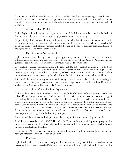Responsibility: Students have the responsibility to see that their dress and grooming protect the health and safety of themselves as well as other persons in school and that such dress is respectful of others and does not disrupt or interfere with the educational process or otherwise violate this Code of Conduct.

#### Access to School Facilities:

Right: Registered students have the right to use school facilities in accordance with this Code of Conduct and subject to the routine operating procedures set at the building level.

Responsibility: Students have the responsibility to use the school facilities in a safe manner and within the routine operating procedures. Each student must take the responsibility to help keep the school(s) clean and orderly. Each student must see that his/her use of the school facilities does not infringe on the rights of others to use the same facility.

#### **Extra-Curricular Activities & Clubs:**

Right: Students have the right to an equal opportunity to be considered for participation in extracurricular programs and activities subject to the provisions of this Code of Conduct and the guidelines set forth in the Co-Curricular/Extracurricular Code of Conduct.

Responsibility: Student organizations have the responsibility not to restrict membership on the basis of actual or perceived race, color, religion, religious practice, sex, gender, national origin, sexual preference, or any other arbitrary criterion, subject to necessary restrictions. Every student organization must be sanctioned by the school administration before it can use school facilities.

\* It should be noted that any student participating in an extracurricular activity or attending an extracurricular activity as a spectator on or off campus is expected to follow this Code of Conduct as well as the Co-Curricular/Extracurricular Code of Conduct.

#### • Availability of School Rules & Regulations:

Right: Students have the right to be informed of the Code of Conduct of the Irvington Union Free School District on an annual basis. Each student will be provided with access to an electronic copy of the Code of Conduct from the District at the start of each school year as well as being provided with a plain language summary of the Code of Conduct at a school assembly held at the beginning of each school year. In addition, electronic copies of the Code of Conduct will be available to parents at the start of each school year. The Code of Conduct will also be made available on the District's website. In the event parents and/or students are unable to access the Code of Conduct electronically, they may request a hard copy from the Building Principal.

The Code will be reviewed and adopted annually in conjunction with the opening of school.

In addition, in accordance with 8 NYCRR 100.2, the Board of Education shall provide programs for in-service education for all District staff members to ensure effective implementation of school policy on school conduct and discipline.

Responsibility: All members and visitors of the school community will be responsible for reading and acting in accordance with this Code of Conduct.

#### Due Process:

Right: Students have a right to a defined procedure for student disciplinary infractions and arriving at decisions. This procedure is called "due process." Students will have a right to be told the reasons for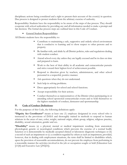disciplinary actions being considered and a right to present their account of the event(s) in question. Due process is designed to protect students from the arbitrary exercise of authority.

Responsibility: Students have the responsibility to be aware of the steps of due process. They should cooperate with school authorities by providing any and all information needed to make a prompt and fair decision. The formal due process steps are outlined later in this Code of Conduct.

General Student Responsibilities:

All District students have the responsibility to:

- Contribute to maintaining a safe, supportive and orderly school environment that is conducive to learning and to show respect to other persons and to property.
- Be familiar with, and abide by all District policies, rules and regulations dealing with student conduct.
- Attend school every day unless they are legally excused and be in class on time and prepared to learn.
- Work to the best of their ability in all academic and extracurricular pursuits and strive toward their highest level of achievement possible.
- Respond to direction given by teachers, administrators, and other school personnel in a respectful, positive manner.
- Ask questions when they do not understand.
- Seek help in solving problems.
- Dress appropriately for school and school functions.
- Accept responsibility for their actions.
- Conduct themselves as representatives of the District when participating in or attending school sponsored extracurricular events and to hold themselves to the highest standards of conduct, demeanor and sportsmanship.

#### **II. Code of Conduct Definitions**:

For the purposes of this Code, the following definitions apply:

**"Dignity Act Coordinator"** means at least one (1) employee designated in every school who is instructed in the provisions of DASA and thoroughly trained in methods to respond to human relations in the areas of race, color, weight, national origin, ethnic group, religion, religious practice, disability, sexual orientation, gender and sex.

**"Disability"** means (a) a physical, mental or medical impairment resulting from anatomical, physiological, genetic or neurological conditions which prevents the exercise of a normal bodily function or is demonstrable by medically accepted clinical or laboratory diagnostic techniques or (b) a record of such an impairment or (c) a condition regarded by others as such an impairment, provided, however, that in dealing with employment situations, the term shall be limited to disabilities which, upon the provision of reasonable accommodations, do not prevent the employee from performing in a reasonable manner the activities involved in the job or occupation sought or held (Education Law §11[4] and Executive Law §292[21]).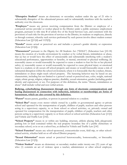**"Disruptive Student"** means an elementary or secondary student under the age of 21 who is substantially disruptive of the educational process and/or substantially interferes with the teacher's authority over the classroom.

**"Employee"** means any person receiving compensation from the District or employee of a contracted service provider or worker placed in the District under a public assistance employment program, pursuant to title nine B of article five of the Social Services Law, and consistent with the provisions of such title for the provision of services to the District, its students or employees, directly or through contract, whereby such services performed by such person involve direct student contact (Education Law §§11[4] and 1125[3]).

**"Gender"** means actual or perceived sex and includes a person's gender identity or expression (Education Law §11[6]).

**"Harassment"** pursuant to the Dignity for All Students Act ("DASA") (Education Law §10-18) means the creation of a hostile environment by conduct or by verbal threats, intimidation or abuse, that (a) has or would have the effect of unreasonably and substantially interfering with a student's educational performance, opportunities or benefits, or mental, emotional or physical wellbeing; (b) reasonably causes or would reasonably be expected to cause a student to fear for his or her physical safety; (c) reasonably causes or would reasonably be expected to cause physical injury or emotional harm to a student; or (d) occurs off school property and creates or would foreseeably create a risk of substantial disruption within the school environment, where it is foreseeable that the conduct, threats, intimidation or abuse might reach school property. The harassing behavior may be based on any characteristic, including but not limited to a person's actual or perceived race, color, weight, national origin, ethnic group, religion, religious practice, disability, sexual orientation, gender (including gender identity and expression) or sex. For purposes of this definition, the terms "threats, intimidation or abuse" shall include verbal and non-verbal actions.

#### **Bullying, cyberbullying (harassment through any form of electronic communication) and hazing (harassment in connection with induction, initiation or membership) are forms of harassment, which are also covered by this definition.**

**"Parent"** means parent, guardian, or person in parental relation to a student.

**"School Bus"** means every motor vehicle owned by a public or governmental agency or private school and operated for the transportation of pupils, children of pupils, teachers and other persons acting in a supervisory capacity, to or from school or school activities, or, privately owned and operated for compensation for the transportation of pupils, children of pupils, teachers and other persons acting in a supervisory capacity to or from school or school activities (Education Law §11[1] and Vehicle and Traffic Law §142).

**"School Property"** means in or within any building, structure, athletic playing field, playground, parking lots or land contained within the real property boundary line of a public elementary or secondary school, or in or on a school bus, as defined in Vehicle and Traffic Law §142.

**"School Function"** means any school-sponsored, extracurricular event, field trip, or other schoolrelated activity, whether held on or off school District property.

**"Sexual Orientation"** means actual or perceived heterosexuality, homosexuality, or bisexuality (Education Law §11[5]).

**"Violent Student"** means an elementary or secondary student under twenty-one (21) years of age who: (1) commits an act of violence upon a teacher, administrator or other school employee;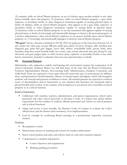(2) commits, while on school District property, an act of violence upon another student or any other person lawfully upon said property; (3) possesses, while on school District property, a gun, knife, explosive or incendiary bomb, or other dangerous instrument capable of causing physical injury or death; (4) displays, while on school District property, what appears to be a gun, knife, explosive or incendiary bomb or other dangerous instrument capable of causing death or physical injury; (5) threatens, while on school District property, to use any instrument that appears capable of causing physical injury or death; (6) knowingly and intentionally damages or destroys the personal property of a teacher, administrator, other school District employee or any person lawfully upon school District property; or (7) knowingly and intentionally damages or destroys school District property.

**"Weapon"** means a firearm as defined in 18 USC §921 for purposes of the Gun-Free Schools Act. It also means any other gun, air gun, BB gun, pellet gun, pistol, revolver, shotgun, rifle, machine gun, disguised gun, paint ball gun, dagger, razor, dirk, stiletto, switchblade knife, gravity knife, brass knuckles, sling shot, metal knuckle knife, box cutter, cane sword, electronic dart gun, Kung Fu star, electronic stun gun, pepper spray or other noxious spray, explosive or incendiary bomb, or any other device, instrument, material or substance that can cause physical injury or death.

#### **III. Essential Partners**:

Maintaining a safe, supportive, orderly, and learning rich environment requires the cooperation of all school community members. Below you will find many of the roles that the Board of Education, Teachers, Superintendent, Parents, Non-teaching Staff, Administration, Guidance Counselors, and Child Study Team are expected to focus upon that will ensure this type of environment. In addition, these essential partners should maintain a climate of mutual respect and dignity, which will strengthen students' self-concept and promote confidence to learn. All essential partners are expected to confront issues of discrimination and/or harassment or any situation that threatens the emotional and/or physical health and/or safety of any student, school employee or any person who is lawfully on school property or at a school function.

#### Board of Education:

- Collaborate with students, teachers, administrators, and parent organizations, school safety personnel and other school personnel to develop a Code of Conduct that clearly defines expectations for the conduct of students, District personnel and visitors on school property and at school functions.
- Adopt and review at least annually, the District's Code of Conduct to evaluate the Code's effectiveness and the fairness and consistency of its implementation.
- Lead by example by conducting Board meetings in a professional, respectful, courteous manner.

#### Teachers:

- Be prepared to teach.
- Demonstrate interest in teaching and concern for student achievement.
- Know school policies and rules, and enforce them in a fair and consistent manner.
- Communicate to students and parents:
	- Course objectives and requirements
	- Marking/grading procedures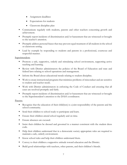- Assignment deadlines
- Expectations for students
- Classroom discipline plan
- Communicate regularly with students, parents and other teachers concerning growth and achievement.
- **Promptly report incidents of discrimination and/or harassment that are witnessed or brought** to the teacher's attention.
- **Promptly address personal biases that may prevent equal treatment of all students in the school** or classroom setting.
- **Lead by example by responding to students and parents in a professional, courteous and** respectful manner.

#### Superintendent:

- Promote a safe, supportive, orderly and stimulating school environment, supporting active teaching and learning.
- Review with District administrators the policies of the Board of Education and state and federal laws relating to school operations and management.
- Inform the Board about educational trends relating to student discipline.
- Work to create instructional programs that minimize problems of misconduct and are sensitive to student and teacher needs.
- Work with District administrators in enforcing the Code of Conduct and ensuring that all cases are resolved promptly and fairly.
- **Promptly report incidents of discrimination and/or harassment that are witnessed or brought** to the Superintendent's attention to the DASA coordinator.

#### Parents:

- Recognize that the education of their child(ren) is a joint responsibility of the parents and the school community.
- Send their children to school ready to participate and learn.
- **Ensure their children attend school regularly and on time.**
- Ensure absences are excused.
- Insist their children be dressed and groomed in a manner consistent with the student dress code.
- Help their children understand that in a democratic society appropriate rules are required to maintain a safe, orderly environment.
- Know school rules and help their children understand them.
- Convey to their children a supportive attitude toward education and the District.
- Build good relationships with teachers, other parents, and their children's friends.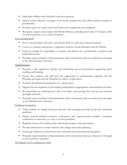- Help their children deal effectively with peer pressure.
- Inform school officials of changes in the home situation that may affect student conduct or performance.
- **Provide a place for study and ensure homework assignments are completed.**
- Recognize, respect and comply with District Policies, including this Code of Conduct, while on school property or at a school function.

#### Non-teaching Staff:

- Know school policies and rules, and enforce them in a fair and consistent manner.
- Convey to students and parents a supportive attitude toward education and the District.
- **Lead by example by responding to students and parents in a professional, courteous and** respectful manner.
- **Promptly report incidents of discrimination and/or harassment that are witnessed or brought** to the staff member's attention.

#### Administration:

- Promote a safe, supportive, orderly, and stimulating school environment, supporting active teaching and learning.
- Ensure that students and staff have the opportunity to communicate regularly with the Principal and approach the Principal for redress of grievances.
- Evaluate all instructional programs on a regular basis.
- Support the development of and student participation in appropriate extracurricular activities.
- Be responsible for enforcing the Code of Conduct and ensuring that all cases are resolved promptly and fairly.
- **Promptly report incidents of discrimination and/or harassment that are witnessed or brought** to the administrator's attention.

#### Guidance Counselors:

- Assist students in coping with peer pressure and emerging personal, social, and emotional problems.
- Initiate teacher/student/counselor conferences and parent/teacher/student/ counselor conferences as necessary, as a way to resolve problems.
- Regularly review with students their educational progress and career plans.
- Provide information to assist students with college and career planning.
- **Encourage students to benefit from the curriculum and extracurricular programs.**
- **Promptly report incidents of discrimination and/or harassment that are witnessed or brought** to the counselor's attention.

The Dignity Act Coordinator(s) shall: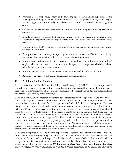- Promote a safe, supportive, orderly and stimulating school environment, supporting active teaching and learning for all students regardless of actual or perceived race, color, weight, national origin, ethnic group, religion, religious practice, disability, sexual orientation, gender or sex.
- Oversee and coordinate the work of the District-wide and building-level bullying prevention committees.
- Identify curricular resources that support infusing civility in classroom instruction and classroom management and provide guidance to staff as to how to access and implement those resources.
- Coordinate with the Professional Development Committee training in support of the bullying prevention committee.
- Be responsible for monitoring and reporting on the effectiveness of the District's anti-bullying, harassment & discrimination policy/dignity for all students act policy.
- Address issues of discrimination and harassment, or any situation that threatens the emotional or physical health or safety or any student, school employee, or any person who is lawfully on school property or at a school function.
- Address personal biases that may prevent equal treatment of all students and staff.
- Respond to any reports of bullying, harassment or discrimination.

#### **IV. Prohibited Student Conduct**

In accordance with the Family Educational Rights and Privacy Act (FERPA), the District is precluded from sharing specific disciplinary infractions and penalties, which could lead to the identification of a particular student/student(s), with community members without receiving written authorization from the parent(s)/guardian(s) of the student(s).

The Board of Education expects all students to conduct themselves in an appropriate and civil manner, with proper regard for the rights and welfare of other students, District personnel, and other members of the school community, and for the proper care of school facilities and equipment. The best discipline is self-imposed, and students must learn to assume and accept responsibility for their own behavior. While the Board recognizes the importance of positive peer interactions and the ability of peers to resolve conflicts amongst themselves, students should be mindful that there may be circumstances where it is not appropriate to attempt to resolve conflicts on their own. Passive participation by a student at an illegal or forbidden act which otherwise endangers the health, safety welfare and/ or morals of the passively participating student and/ or that of another person/ student could result in disciplinary consequence for that student. Passive participation shall be defined as a student's voluntary presence at the site of an illegal or forbidden act, which otherwise endangers the health, safety, welfare and/ or morals of any person/ student.

The Board recognizes the need to make its expectations for student conduct while on school property or engaged in a school function specific and clear. The rules of conduct listed below are intended to do that and focus on safety and respect for the rights and property of others. Students who will not accept responsibility for their own behavior and who violate these school rules will be required to accept the penalties for their conduct. **Off Campus conduct that violates this Code of Conduct may be subject to school discipline should the District determine in its discretion that such**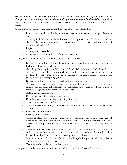**conduct creates a hostile environment for the victim at school, or materially and substantially disrupts the educational process or the orderly operation of any school building.** A student may be subject to corrective action, disciplinary consequences, or suspension from school when the student:

A. Engages in any form of academic misconduct\*, including but not limited to:

- Lateness for, missing or leaving school or class or homeroom without permission or excuse.
- Cheating (including but not limited to copying, using unauthorized help sheets and the like, illegally obtaining tests in advance, substituting for a test-taker, and other forms of unauthorized collusion).
- Plagiarism.
- Altering school records.
- Assisting another student in any of the above actions.

B. Engages in conduct which is disorderly\*, including but not limited to:

- Engaging in any willful act, which disrupts the normal operation of the school community.
- Fighting or threatening behavior.
- Gambling, Violating Regents Rule 19.6 and Article 9-A of the General Municipal Law by engaging in any prohibited games of chance or raffles on school grounds, including, but not limited to: Super Bowl Pools, March Madness Pools, betting on any sporting event, 50/50 raffles, or any wagering game.
- Discharging a fire extinguisher or falsely setting off a fire alarm.
- Trespassing. Students are not permitted in any school building, other than the one they regularly attend, during school hours or at authorized school events, without permission from the designated authority in the school office.
- Making unreasonable noise.
- Using abusive or obscene language or gestures.
- Disturbing any lawful assembly or meeting of persons.
- Obstructing vehicular or pedestrian traffic.
- Creating a hazardous or physically offensive condition by any act that serves no legitimate purpose.
- Defacing school property.
- Running in the hallways.
- Computer/electronic communications misuse. Including any unauthorized use of personal electronic equipment and computers, software, or Internet/Intranet account; accessing inappropriate Web sites; or any other violation of the District's acceptable use policy.
- Violating cafeteria behavioral expectations. Food is to be eaten only in the cafeteria or designated areas. Students are expected to sit on chairs or benches and not to have their feet on the tables. There is to be no throwing or misuse of food.
- Students are expected to dispose of their trash and recyclables appropriately. Materials that can be recycled must be recycled.
- Violating traffic regulations on school property.

C. Engages in conduct that is insubordinate\*, including but not limited to the following: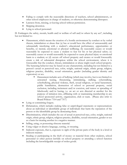- Failing to comply with the reasonable directions of teachers, school administrators, or other school employees in charge of students, or otherwise demonstrating disrespect.
- Lateness from, missing, or leaving school without permission.
- Skipping detention.
- Lying to school personnel.

D. Endangers the safety, morals, health and/or welfare of self and/or others by any act\*, including but not limited to:

- Harassment, which means the creation of a hostile environment by conduct or by verbal threats, intimidation or abuse that (a) has or would have the effect of unreasonably and substantially interfering with a student's educational performance, opportunities or benefits, or mental, emotional or physical wellbeing; (b) reasonably causes or would reasonably be expected to cause a student to fear for his or her physical safety; (c) reasonably causes or would reasonably be expected to cause physical injury or emotional harm to a student; or (d) occurs off school property and creates or would foreseeably create a risk of substantial disruption within the school environment, where it is foreseeable that the conduct, threats, intimidation or abuse might reach school property. The harassing behavior may be based on any characteristic, including but not limited to a person's actual or perceived race, color, weight, national origin, ethnic group, religion, religious practice, disability, sexual orientation, gender (including gender identity and expression) or sex.
	- Harassment includes acts of bullying (which may involve, but is not limited to: unwanted teasing, threatening, intimidating, stalking, cyberstalking, cyberbullying, physical violence, theft, sexual religious, or racial harassment, public humiliation, destruction of school or personal property, social exclusion, including incitement and/or coercion, and rumor or spreading of falsehoods) and/or hazing, i.e. an act or acts directed at another for the purpose of initiation into, affiliating with or maintaining membership in any school sponsored activity, organization, club or team. (Please also refer to Board Policies 7314 and 7317)
- Lying or committing forgery.
- Defamation, which includes making false or unprivileged statements or representations about an individual or identifiable group of individuals that harm the reputation of the person or the identifiable group by demeaning them.
- Discrimination, which includes the use of actual or perceived race, color, weight, national origin, ethnic group, religion, religious practice, disability, sexual orientation, gender or sex as a basis for treating another in a negative manner.
- Selling, using, or possessing obscene material.
- Using vulgar or abusive language, cursing, or swearing.
- Indecent exposure, that is, exposure to sight of the private parts of the body in a lewd or indecent manner.
- Stealing or participating in the theft of money or material from other students, school personnel or other person lawfully on school property or attending a school function including the knowledgeable receipt of stolen goods.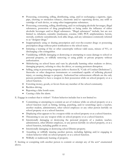- Possessing, consuming, selling, distributing, using, and/or exchanging a cigarette, cigar, pipe, chewing or smokeless tobacco, electronic and/or vaporizing device, any refill or cartridge of such device, or using other inappropriate substances.
- Possessing, consuming, selling, distributing, and/or exchanging alcoholic beverages, illegal substances, possession of drug paraphernalia or being under the influence of either alcoholic beverages and/or illegal substances. "Illegal substances" include, but are not limited to, inhalants, cannabis (marijuana), cocaine, LSD, PCP, amphetamines, heroin, steroids, synthetic cannabinoids, look-alike drugs, and any substances commonly referred to as "designer drugs."
- Inappropriately using or sharing prescription and over-the-counter drugs or possessing prescription drugs without prior notification to the school nurse.
- Initiating a warning of fire or other catastrophe without valid cause, misuse of 911, or discharging a fire extinguisher.
- Vandalizing, willfully damaging or destroying or attempting to cause damage to school or personal property, or willfully removing or using public or private property without authorization.
- Misbehaving on school buses and vans by physically harming other students or driver, damaging property, refusing to obey the driver, or causing persistent disruption.
- Selling, using or possessing weapons (refer to Section II, "Code of Conduct Definitions"), fireworks or other dangerous instruments or contraband capable of inflicting physical injury, or causing damage to property. Authorized law enforcement officials are the only persons permitted to have a weapon in their possession while on school property or at a school function.
- Extorting money, goods, or favors from any member of the school community.
- Reckless driving.
- Reporting a false bomb scare.
- Causing a false fire alarm.

E. Engage in conduct that is violent\*. Violent behavior includes but is not limited to:

- Committing or attempting to commit an act of violence while on school property or at a school function (such as hitting, kicking, punching, and/or scratching) upon a teacher, another student, administrator, other school employee or any other person lawfully on school property or at a school function.
- Displaying what appears to be a weapon while on school property or at a school function.
- Threatening to use any weapon while on school property or at a school function.
- Intentionally damaging or destroying the personal property of a student, teacher, administrator, other District employee, or any person lawfully on school property, or at a school function, including graffiti or arson.
- Intentionally damaging or destroying school District property.
- Assaulting or willfully injuring another person, including fighting and/or engaging in violent behavior while on school property or at a school function.
- Willfully or maliciously burning of property.

F. Inciting or conspiring with another person to commit or attempt any of the acts\* enumerated above.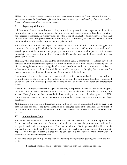\**When such act/conduct occurs on school property, at a school-sponsored event or the District otherwise determines that such conduct creates a hostile environment for the victim at school, or materially and substantially disrupts the educational process or the orderly operation of any school building.* 

#### **V. Reporting Violations**:

All District staff who are authorized to impose disciplinary sanctions are expected to do so in a prompt, fair, and lawful manner. District staff who are not authorized to impose disciplinary sanctions are expected to immediately report violations of the Code of Conduct to their supervisor, who shall in turn impose an appropriate disciplinary sanction, if so authorized, or refer the matter to a staff member who is authorized to impose an appropriate sanction.

All students must immediately report violations of the Code of Conduct to a teacher, guidance counselor, the building Principal or his/her designee or any other staff member. Any student with knowledge of a violation on school property or at a school function shall report this information immediately to a teacher, the building Principal, the Principal's designee, the Superintendent or any other staff member.

Students, who have been harassed and/or discriminated against, parents whose children have been harassed and/or discriminated against, or other students or staff who observe harassing and/or discriminating behavior are encouraged and expected to submit a verbal and/or written complaint to a District staff member. In addition, all District staff must report any bullying, harassment and/or discrimination to the designated Dignity Act Coordinator of the building.

Any weapon, alcohol, or illegal substance found shall be confiscated immediately, if possible, followed by notification to the parent of the student involved and the appropriate disciplinary sanction if warranted, which may include permanent suspension and/or referral to the local law enforcement agency.

The building Principal, or his/her designee, must notify the appropriate local law enforcement agency of those code violations that constitute a crime that substantially affect the order or security of a school. (Examples include but are not limited to: causing a crime where the damages exceed \$250, committing an assault on any school community member, possessing a weapon, drug, or illegal substance).

Notification to the local law enforcement agency will be as soon as practicable, but in no event later than the close of business the day the Principal or his designee learns of the violation. The notification must identify the student and explain the conduct that violated the Code of Conduct and constituted a crime.

#### **VI**. **Student Dress Code**

All students are expected to give proper attention to personal cleanliness and to dress appropriately for school and school functions. Students and their parents have the primary responsibility for acceptable student dress and appearance. Teachers and all other District personnel should exemplify and reinforce acceptable student dress and help students develop an understanding of appropriate appearance in the school setting. Please refer to your school's handbook for more information on attire that is not acceptable/permitted.

A student's dress, grooming and appearance, including hairstyle/color, jewelry, make-up and nails, shall:

Be safe, appropriate and not disrupt or interfere with the educational process.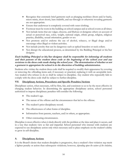- Recognize that extremely brief garments such as plunging necklines (front and/or back), micro-minis, short shorts, bare midriffs, and see-through or otherwise revealing garments are not appropriate.
- Ensure that underwear is completely covered with outer clothing.
- Footwear must be worn in the building on school campus and at school events at all times.
- Not include items that are vulgar, obscene, and libelous or denigrate others on account of actual or perceived race, color, weight, national origin, ethnic group, religion, religious practice, disability, sexual orientation, gender or sex
- Not promote and/or endorse the use of alcohol, tobacco, or illegal drugs and/or encourage other illegal or violent activities.
- Not include jewelry that can be dangerous such as spiked bracelets or neck collars.
- Not disrupt the educational process, as determined by the Building Principal or his/her designee.

#### **Each building Principal or his/her designee shall be responsible for informing all students and their parents of the student dress code at the beginning of the school year and any revisions to the dress code made during the school year. The determination of whether or not a garment is appropriate for school is in the discretion of building administration.**

Students who violate the student dress code shall be required to modify their appearance by covering or removing the offending items and, if necessary or practical, replacing it with an acceptable item. Any student who refuses to do so shall be subject to discipline. Any student who repeatedly fails to comply with the dress code shall be subject to further discipline.

#### **VII. Disciplinary Actions, Procedures and Specific Penalties/Actions**

Disciplinary action, when necessary, will be firm, fair, and consistent so as to be the most effective in changing student behavior. In determining the appropriate disciplinary action, school personnel authorized to impose disciplinary penalties will consider the following:

- The student's age.
- The nature of the offense and the circumstances that led to the offense.
- The student's prior disciplinary record.
- The effectiveness of other forms of discipline.
- Information from parents, teachers, and/or others, as appropriate.
- Other extenuating circumstances.

Discipline is most effective when it deals directly with the problem at the time and place it occurs, and in a way that students view as fair and impartial. School personnel who interact with students are expected to use disciplinary action only when necessary and to place emphasis on the student's ability to grow in self-discipline.

#### **A**. **Disciplinary Actions**

It is the Board's desire that student discipline is progressive, thus a student's first violation *may* merit a lighter penalty or action than subsequent violations; however, *depending upon the nature of the violation*,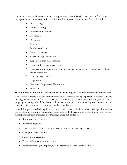any one of these penalties/actions can be implemented. The following penalties and/or actions may be implemented, either alone or in combination, for violation of the Student Code of Conduct:

- Oral warning
- Written warning
- Notification to parents
- **Reprimand**
- **Detention**
- $\blacksquare$  Time out
- Teacher conference
- Parent conference
- Referral to legal action, police
- Suspension from transportation
- **Exclusion from a particular class**
- Suspension from after school or extracurricular activities such as newspaper, athletics, drama, music, etc.
- In-school suspension
- Suspension
- **Permanent Suspension (Expulsion)**
- **Probation**

#### **Disciplinary and Remedial Consequences for Bullying, Harassment and/or Discrimination**

The District supports the development of measured, balanced and age-appropriate responses to the bullying, harassment and/or discrimination of students by students and/or employees on school property, including school functions, with remedies and procedures focusing on intervention and education. Successful intervention may involve remediation.

Remedial responses to bullying, harassment and discrimination include measures designed to correct the problem behavior, prevent another occurrence of the behavior and protect the target of the act. Appropriate remedial measures may include, but are not limited to:

- Restitution and restoration
- Peer support groups
- Corrective instruction or other relevant learning or service experience
- Changes in class schedule
- Supportive intervention
- Behavioral assessment or evaluation
- Behavioral management plans, with benchmarks that are closely monitored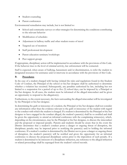- Student counseling
- Parent conferences

Environmental remediation may include, but is not limited to:

- School and community surveys or other strategies for determining the conditions contributing to the relevant behavior
- Modification of schedules
- Adjustment in hallway traffic and other student routes of travel
- Targeted use of monitors
- Staff professional development
- Parent education seminars/workshops
- Peer support groups

If appropriate, disciplinary action will be implemented in accordance with the provisions of this Code. If the behavior rises to the level of criminal activity, law enforcement will be contacted.

Staff is expected, when aware of bullying, harassment and/or discrimination, to refer the student to designated resources for assistance and/or intervene in accordance with the provisions of this Code.

#### **B. Procedures**

In the case of a student charged with having violated the rules and regulations found in this Student Code of Conduct, the Principal of the school or his/her designee shall be authorized to determine whether a violation has occurred. Subsequently, any penalties authorized by law, including but not limited to a suspension for a period of up to five (5) school days, can be imposed by a Principal or his/her designee. In all cases, the student must be informed of the alleged misconduct and be given an opportunity to respond to the allegation(s).

Furthermore, to the extent necessary, the facts surrounding the alleged misconduct will be investigated by the Principal or his/her designee.

In determining the guilt or innocence of a student, the Principal or his/her designee shall not consider any information other than the evidence relevant to the guilt or innocence of the student with regard to the conduct with which the student is charged. If a student is determined by the Principal or his/her designee to have engaged in the conduct alleged, the student's parent(s) shall be so notified and shall be given the opportunity to attend an informal conference with the complaining witness(es), which, depending on the circumstances, may be the Principal or his/her designee, to discuss the misconduct and the proposed or imposed penalty. Parents and students should be aware that in the event the District determines that a student's conduct poses a danger or ongoing threat of disruption, the disciplinary penalty may be imposed prior to notifying the parent(s) and/or holding the informal conference. If a student's conduct is determined by the District not to pose a danger or ongoing threat of disruption, the student's parent(s) will be notified and given the opportunity for an informal conference to discuss the proposed disciplinary action prior to the imposition of such penalty. If a student is determined to be innocent of a disciplinary infraction, any reference to the alleged infraction or related proceedings shall be expunged from the student's school records.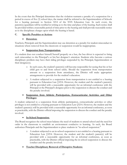In the event that the Principal determines that the violation warrants a penalty of a suspension for a period in excess of five (5) school days, the matter shall be referred to the Superintendent of Schools for a hearing pursuant to Section 3214 of the NYS Education Law. In such event, the parent(s)/guardians will be notified in writing as to the time and place of the hearing. Such notice shall be provided within a reasonable period of time prior to the hearing and shall provide reasonable notice as to the disciplinary charges upon which the hearing is based.

#### **C. Specific Penalties or Actions**

#### **Detention**:

Teachers, Principals and the Superintendent may use detention as a penalty for student misconduct in situations where removal from the classroom or suspension would be inappropriate.

#### **Suspension from Transportation**:

If a student does not conduct himself/herself properly on a bus, the bus driver is expected to bring such misconduct to the Principal's or his/her designee's attention. Students who become a serious disciplinary problem may have their riding privileges suspended by the Principal, Superintendent or their designee(s).

- o In such cases, the student's parent(s) will become responsible for seeing that his or her child gets to and from school safely. Should the suspension from transportation amount to a suspension from attendance, the District will make appropriate arrangements to provide for the student's education.
- o A student subjected to a suspension from transportation is not entitled to a hearing pursuant to Education Law §3214. However, the student and the student's parent(s) will be provided with a reasonable opportunity for an informal conference with the Principal or the Principal's designee prior to the suspension to discuss the conduct and the penalty involved.

#### **Suspension from Athletic Participation, Extracurricular Activities and Other Privileges**:

A student subjected to a suspension from athletic participation, extracurricular activities or other privileges is not entitled to a hearing pursuant to Education Law §3214. However, the student and the student's parent(s) will be provided with a reasonable opportunity for an informal conference, as soon as practicable, with the District official imposing the suspension to discuss the conduct and the penalty involved.

#### **In-School Suspension**:

The Board recognizes the school must balance the need of students to attend school and the need for order in the classroom to establish an environment conducive to learning. As such, the Board authorizes Principals and the Superintendent to place students in "in-school suspension."

- o A student subjected to an in-school suspension is not entitled to a hearing pursuant to Education Law §3214. However, the student and the student's parent(s) will be provided with a reasonable opportunity for an informal conference, as soon as practicable, with the District official imposing the in-school suspension to discuss the conduct and the penalty involved.
- **Teacher Disciplinary Removal of Disruptive Students**: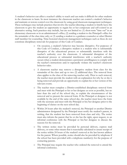A student's behavior can affect a teacher's ability to teach and can make it difficult for other students in the classroom to learn. In most instances the classroom teacher can control a student's behavior and maintain or restore control over the classroom by using good classroom management techniques. These techniques may include practices that involve the teacher directing a student to briefly leave the classroom to give the student an opportunity to regain his or her composure and self-control in an alternative setting. Such practices may include, but are not limited to: (1) short-term "time out" in an elementary classroom or in an administrator's office; (2) sending a student to the Principal's office for the remainder of the class time only; or (3) sending a student to a guidance counselor or other District staff member for counseling. Time-honored classroom management techniques such as these do not constitute disciplinary removals for purposes of this Code of Conduct.

- o On occasion, a student's behavior may become disruptive. For purposes of this Code of Conduct, a disruptive student is a student who is substantially disruptive of the educational process or substantially interferes with the teacher's authority over the classroom. A substantial disruption of the educational process or substantial interference with a teacher's authority occurs when a student demonstrates a persistent unwillingness to comply with the teacher's instructions and/or repeatedly violates the teacher's classroom behavior rules.
- o A classroom teacher may remove a disruptive student from class for the remainder of the class and up to two (2) additional days. The removal from class applies to the class of the removing teacher only. Prior to such removal, the teacher must provide the student with an explanation for why he or she is being removed and provide an opportunity to explain his or her version of the relevant events.
- o The teacher must complete a District-established disciplinary removal form and meet with the Principal or his or her designee as soon as possible, but no later than the end of the school day, to explain the circumstances of the removal and to present the removal form. If the Principal or designee is not available by the end of the same school day, the teacher must leave the form with the secretary and meet with the Principal or his/her designee prior to the beginning of classes on the next school day.
- o Within 24 hours after the student's removal, the Principal or another District administrator designated by the Principal must notify the student's parent, in writing, that the student has been removed from class and why. The notice must also inform the parent that he or she has the right, upon request, to an informal conference with the Principal or his/her designee to discuss the reasons for the removal.
- o The written notice must be provided by personal delivery, express mail delivery, or some other means that is reasonably calculated to assure receipt of the notice within 24 hours of the student's removal at the last known address for the parent. Where possible, notice should also be provided by telephone if the school has been provided with a telephone number(s) for the purpose of contacting parents.
- The Principal may require the teacher who ordered the removal to attend the informal conference.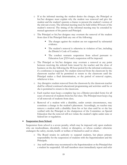- o If at the informal meeting the student denies the charges, the Principal or his/her designee must explain why the student was removed and give the student and the student's parents a chance to present the student's version of the relevant events. The informal meeting must be held within 48 hours of the student's removal. The timing of the informal meeting may be extended by mutual agreement of the parent and Principal.
- o The Principal or his/her designee may overturn the removal of the student from class if the Principal finds any one of the following:
	- The charges against the student are not supported by substantial evidence.
	- The student's removal is otherwise in violation of law, including the District's Code of Conduct.
	- The conduct warrants suspension from school pursuant to Education Law §3214 and a suspension will be imposed.
- o The Principal or his/her designee may overturn a removal at any point between receiving the referral form issued by the teacher and the close of business on the day following the 48-hour period for the informal conference, if a conference is requested. No student removed from the classroom by the classroom teacher will be permitted to return to the classroom until the Principal makes a final determination, or the period of removal expires, whichever is less.
- o Any disruptive student removed from the classroom by the classroom teacher shall be offered continued educational programming and activities until he or she is permitted to return to the classroom.
- o Each teacher must keep a complete log (on a District provided form) for all cases of removal of students from his/her class. The Principal must keep a log of all removals of students from class**.**
- Removal of a student with a disability, under certain circumstances, may constitute a change in the student's placement. Accordingly, no teacher may remove a student with a disability from his or her class until he or she has verified with the Principal or the chairperson of the Committee on Special Education that the removal will not violate the student's rights under state or federal law or regulation.

#### **•** Suspension from School:

Suspension from school is a severe penalty, which may be imposed only upon students who are insubordinate, disorderly, violent or disruptive, or whose conduct otherwise endangers the safety, morals, health or welfare of themselves and/or others.

- o The Board retains its authority to suspend students, but places primary responsibility for the suspension of students with the Superintendent and the Principals.
- o Any staff member may recommend to the Superintendent or the Principal that a student be suspended. All staff members must immediately report and refer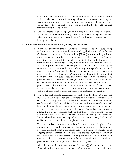a violent student to the Principal or the Superintendent. All recommendations and referrals shall be made in writing unless the conditions underlying the recommendation or referral warrant immediate attention. In such cases a written report is to be prepared as soon as possible by the staff member recommending the suspension.

o The Superintendent or Principal, upon receiving a recommendation or referral for suspension or when processing a case for suspension, shall gather the facts relevant to the matter and record them for subsequent presentation at a hearing, if applicable.

#### **Short-term Suspension from School (five (5) days or fewer)**:

- o When the Superintendent or Principal (referred to as the "suspending authority") proposes to suspend a student charged with misconduct for five (5) days or less pursuant to Education Law §3214(3), the suspending authority must immediately notify the student orally and provide him/her an opportunity to respond to the allegation(s). If the student denies the misconduct, the suspending authority must provide an explanation of the basis for the proposed suspension. The suspending authority must also notify the student's parents in writing that the student **may** be suspended from school unless the student's conduct has been determined by the District to pose a danger, in which case the parent(s)/guardian(s) will be notified in writing that their child **has** been suspended. The written notice must be provided by personal delivery, express mail delivery, or some other means that is reasonably calculated to assure receipt of the notice within 24 hours of the decision to propose suspension at the last known address for the parents. Where possible, notice should also be provided by telephone if the school has been provided with a telephone number(s) for the purpose of contacting the parents.
- o The notice shall provide a reasonable description of the charge(s) against the student and the incident for which suspension is proposed or imposed and shall inform the parents of the right to request an immediate informal conference with the Principal. Both the notice and informal conference shall be in the dominant language or mode of communication used by the parents. At the informal conference, should the parent(s)/guardians so choose to attend, the parents/guardians shall be permitted to ask questions of the complaining witness(es) under such procedures as the Principal may establish. Parents should be aware that, depending on the circumstances, the Principal or his/her designee may be the complaining witness.
- o The notice and opportunity for an informal conference shall take place before the student is suspended **unless** the District determines that the student's presence in school poses a continuing danger to persons or property or an ongoing threat of disruption to the academic process. If, in the discretion of the District, the student's presence does pose such a danger or threat of disruption, the notice and opportunity for an informal conference shall take place as soon after the suspension as is reasonably practicable.
- o After the informal conference, should the parent(s) choose to attend, the Principal shall promptly advise the parent(s) in writing of his or her decision.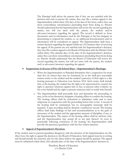The Principal shall advise the parents that if they are not satisfied with the decision and wish to pursue the matter, they may file a written appeal to the Superintendent within thirty (30) days of the date of the letter, unless they can show extraordinary circumstances precluding them from doing so. Parents should understand that the Superintendent will review the record regarding the matter, but will not meet with the parent, the student and/or advocates/attorneys regarding the appeal. The record is defined as those documents and/or information used by the Principal or his/her designee in determining to suspend the student, i.e. no additional documentation and/or information will be considered on appeal. The Superintendent shall issue a written decision regarding the appeal within ten (10) business days of receiving the appeal. If the parents are not satisfied with the Superintendent's decision, they may file a written appeal to the Board of Education with the District Clerk within thirty (30) calendar days of the date of the Superintendent's decision, unless they can show extraordinary circumstances precluding them from doing so. Parents should understand that the Board of Education will review the record regarding the matter, but will not meet with the parent, the student and/or advocates/attorneys regarding the appeal.

#### **Suspensions in Excess of Five (5) School Days – Superintendent's Hearings**:

- o When the Superintendent or Principal determines that a suspension for more than five (5) school days may be warranted, he or she shall give reasonable written notice to the student and the student's parent(s) of their right to a fair hearing pursuant to Education Law Section 3214. Such notice shall include that, at the hearing, the student has the right to be represented by counsel, the right to question witnesses against him or her, to present other evidence on his or her behalf and the right to present witnesses and/or testify him/herself.
- o The Superintendent shall personally hear and determine the proceeding or may, in his or her discretion, designate a hearing officer to conduct the hearing. The hearing officer shall be authorized to administer oaths and to issue subpoenas in conjunction with the proceeding before him or her. A record of the hearing shall be maintained, but no stenographic transcript shall be required. A tape recording shall be deemed a satisfactory record. The hearing officer shall make findings of fact and recommendations as to the guilt or innocence of the student and the appropriate measure of discipline, if any, to the Superintendent. The report of the hearing officer shall be advisory only, and the Superintendent may accept all or any part thereof. As soon as practicable following conclusion of the hearing, the Superintendent shall provide the parent(s)/guardian(s) with his/her written decision.

#### **Appeal of Superintendent's Decision**:

If the student and/or parents/guardians disagree(s) with the decision of the Superintendent, he/she (they) have the right to appeal the decision to the Board of Education. Such appeal must be in writing and should include the reason(s) why he/she (they) believe the appeal should be granted. The appeal must be submitted within thirty (30) calendar days of the date of the Superintendent's decision to:

> President, Board of Education c/o District Clerk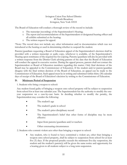Irvington Union Free School District 40 North Broadway Irvington, New York 10533

The Board of Education will conduct a thorough review of the record to include:

- o The transcript (recording) of the Superintendent's Hearing;
- o The report and recommendations of the Superintendent or designated hearing officer and all exhibits submitted at the hearing;
- o The written request for appeal.

\*Note: The record does not include any other information and/or documentation which was not introduced at the hearing or used in determining whether to suspend the student.

Parents/guardians requesting a Board of Education appeal of the Superintendent's decision shall be provided with a written transcript or audio copy, whichever is available, of the Superintendent's Hearing upon remittance of the required fee for copying. Parents/guardians will also be provided with a written response from the District Clerk advising parents of the date that the Board of Education will conduct the appeal in executive session. During the appeal process, parents shall not contact the Superintendent or Board of Education members regarding this matter. Only final decisions of the Board may be appealed to the Commissioner of Education. If the student and/or parent/guardian disagree with the final written decision of the Board of Education, an appeal can be made to the Commissioner of Education. Such appeal must be in writing and submitted within thirty (30) calendar days of receipt of the Board of Education's decision by writing to the Commissioner of Education.

#### **D. Minimum Period of Suspension**

1. Students who bring a weapon to school:

Any student found guilty of bringing a weapon onto school property will be subject to suspension from school for at least one calendar year. The Superintendent has the authority to modify the oneyear suspension on a case-by-case basis. In deciding whether to modify the penalty, the Superintendent may consider the following:

- The student's age
- The student's grade in school
- The student's prior disciplinary record
- The Superintendent's belief that other forms of discipline may be more effective
- Input from parents/guardians and/or teachers
- Other extenuating circumstances

2. Students who commit violent acts other than bringing a weapon to school:

 Any student, who is found to have committed a violent act, other than bringing a weapon onto school property, shall be subject to suspension from school for at least five (5) days. If the proposed penalty exceeds the minimum five-day suspension, the student and the student's parent(s) will be given the same notice and opportunity for a hearing given to all students subject to a long term suspension.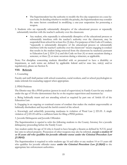- The Superintendent has the authority to modify the five-day suspension on a case-bycase basis. In deciding whether to modify the penalty, the Superintendent may consider the same factors considered in modifying a one-year suspension for possessing a weapon.
- 3. Students who are repeatedly substantially disruptive of the educational process or repeatedly substantially interfere with the teacher's authority over the classroom:
	- Any student, who repeatedly is substantially disruptive of the educational process or substantially interferes with the teacher's authority over the classroom, may be suspended from school for at least five (5) days. For purposes of this Code of Conduct, "repeatedly is substantially disruptive of the educational process or substantially interferes with the teacher's authority over the classroom" means engaging in conduct that results in the student being removed from the classroom by teacher(s) pursuant to Education Law § 3214 (3-a) and this Code on four (4) or more occasions during a semester, or three (3) or more occasions during a trimester, as applicable.

Note: For discipline concerning students identified with or presumed to have a disability or impairment, as such terms are defined by applicable federal and/or state law, rule(s) and/or regulation(s), please see Section X.

#### **VIII. Referrals**

#### 1. Counseling

Faculty and staff shall partner with school counselors, social workers, and/or school psychologists to make referrals for counseling support when appropriate.

#### 2. PINS Petitions

The District may file a PINS petition (person in need of supervision) in Family Court for any student under the age of 18 who demonstrates that he or she requires supervision and treatment by:

a. Being habitually truant and not attending school as required by part one of Article 65 of the Education Law.

b. Engaging in an ongoing or continual course of conduct that makes the student ungovernable or habitually disobedient and beyond the lawful control of the school.

c. Knowingly and unlawfully possessing marijuana in violation of Penal Law § 221.05. A single violation of § 221.05 will be a sufficient basis for filing a PINS petition.

3. Juvenile Delinquents and Juvenile Offenders

The Superintendent is *required* to refer the following students to the County Attorney for a juvenile delinquency proceeding before the Family Court:

Any student under the age of 16 who is found to have brought a firearm as defined by N.Y.S. penal law onto to school property. Possession of other weapons may also be referred, **except a student 14 or 15 years old who qualifies for juvenile offender status under the Criminal Procedure Law §1.20(42).**

The Superintendent is required to refer students age 16 and older or any student 14 or 15 years old who qualifies for juvenile offender status **under the Criminal Procedure Law §1.20(42)** to the appropriate law enforcement authorities**.**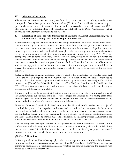#### **IX. Alternative Instruction**

When a teacher removes a student of any age from class, or a student of compulsory attendance age is suspended from school pursuant to Education Law §3214, the District will take immediate steps to provide alternative means of instruction for the student in accordance with Education Law §3214. However, once a student is no longer of compulsory age, it shall be in the District's discretion whether to provide such alternative education to the student.

#### **X. Discipline of Students with Disabilities or Physical or Mental Impairment(s), which Substantially Limit(s) One or More Major Life Activities**

A Principal may suspend a student identified as having a disability or physical or mental impairment, which substantially limits one or more major life activities for a short-term (5 school days or less) in the same manner as he/she may suspend non-disabled students. In addition, the Superintendent may order the placement of a student with a disability or physical or mental impairment, which substantially limits one or more major life activities into an Interim Alternate Educational Setting ("IAES"), which setting may include home instruction, for up to ten (10) days, inclusive of any period in which the student has been suspended or removed by the Principal for the same behavior, if the Superintendent determines in accordance with the procedures set forth in Education Law Section 3214 that the student has engaged in behavior that warrants a suspension and the suspension or removal does not exceed the amount of time non-disabled students would be subject to suspension for the same behavior.

A student identified as having a disability or is presumed to have a disability, as provided for in Part 200 of the rules and Regulations of the Commissioner of Education and/or a student identified as having a physical or mental impairment which substantially limits one or more major life activities pursuant to §504 of the Rehabilitation Act of 1973 ("504") or American with Disabilities Act ("ADA"), who is suspended for a period in excess of five school (5) days is entitled to a hearing in accordance with Education law §3214.

If there is no basis for knowledge that the student is a student with a disability or physical or mental impairment, which substantially limits one or more major life activities prior to taking disciplinary measure against the student, the student may be subjected to the same disciplinary measures as any other nondisabled student who engaged in comparable behaviors.

However, if a request for an individual evaluation is made while such nondisabled student is subjected to a disciplinary removal an expedited evaluation shall be conducted and completed in the manner prescribed by applicable federal state law and regulation. Until the expedited evaluation is completed, the nondisabled student who is not presumed to have a disability or physical or mental impairment, which substantially limits one or more major life activities for disciplinary purposes shall remain in the educational placement determined by the District, which can include suspension.

The following rules shall apply before any disciplinary penalty may be imposed at a hearing for a student identified as having a disability or physical or mental impairment, which substantially limits one or more major life activities or who is presumed to have a disability or physical or mental impairment, which substantially limits one or more major life activities:

#### **§504/ADA Disability**

Before any student identified as having a physical or mental impairment, which substantially limits one or more major life activities, is suspended in excess of ten (10) school days, the §504 multi-disciplinary committee must make a determination regarding whether the conduct underlying the charge(s) was related to the student's impairment.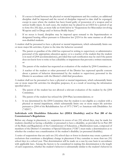- 1. If a nexus is found between the physical or mental impairment and the conduct, no additional discipline shall be imposed and the record of discipline imposed to date shall be expunged, except in cases where the student has been found guilty of possession of a weapon and/or serious bodily injury. In such cases, the student may be placed in an IAES for a period of up to forty-five (45) days, as more fully set forth below in "Suspensions for Misconduct involving Weapons and/or Drugs and/or Serious Bodily Injury."
- 2. If no nexus is found, discipline may be imposed upon remand to the Superintendent or designated hearing officer pursuant to Education law §3214 in the same manner as all other non-disabled students.

A student shall be presumed to have a physical or mental impairment, which substantially limits one or more major life activities, if prior to the time the behavior occurred:

- 1. The parent or guardian of the child has expressed in writing to supervisory or administrative personnel of the appropriate education agency or to a teacher of the student that the student is in need of §504 accommodation(s), provided that such notification may be oral if the parent does not know how to write or has a disability or impairment that prevents a written statement; or
- 2. The parent of the student has requested an evaluation of the student by §504 Committee; or
- 3. A teacher of the student or other personnel of the District has expressed specific concern about a pattern of behavior demonstrated by the student to supervisory personnel in the District in accordance with the District's child-find procedures.

A student shall not be presumed to have a physical or mental impairment, which substantially limits one or more major life activities for discipline purposes, if, as a result of receiving the information specified above:

- 1. The parent of the student has not allowed a relevant evaluation of the student by the §504 Committee;
- 2. The parent of the student has refused the §504 Plan/accommodations; or
- 3. It was determined by the §504 Committee that the student is not eligible as a student with a physical or mental impairment, which substantially limits one or more major life activities pursuant to §504 of the Rehabilitation Act of 1973 ("504") or American with Disabilities Act  $($ "ADA").

#### **Individuals with Disabilities Education Act (IDEA Disability) and/or Part 200 of the Commissioner's Regulations**

Before any change in placement, i.e. suspension in excess of ten (10) school days, may be made for students classified as having a disability or presumed to have a disability, as provided for in Part 200 of the Rules and Regulations of the Commissioner of Education, a Manifestation team, composed of members of the District's Committee of Special Education ("CSE") must make a determination as to whether the conduct was a manifestation of the student's disability (or presumed disability).

A series of suspensions that are each ten (10) school days or fewer in duration may create a pattern of exclusions that constitutes a disciplinary change in placement if they cumulate to more than ten (10) school days in a school year. That determination will be made on a case-by-case basis in accordance with applicable laws. Among the factors to be considered in making this determination is the length of each suspension, whether the student's behavior is substantially similar to the student's behavior in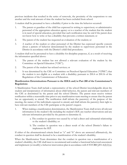previous incidents that resulted in the series of removals, the proximity of the suspensions to one another and the total amount of time the student has been excluded from school.

A student shall be presumed to have a disability if prior to the time the behavior occurred:

- 1. The parent or guardian of the child has expressed in writing to supervisory or administrative personnel of the appropriate education agency or to a teacher of the student that the student is in need of special education, provided that such notification may be oral if the parent does not know how to write or has a disability that prevents a written statement; or
- 2. The parent of the student has requested an evaluation of the student; or
- 3. A teacher of the student or other personnel of the District has expressed specific concern about a pattern of behavior demonstrated by the student to supervisory personnel in the District in accordance with the District's child-find procedures.

A student shall not be presumed to have a disability for discipline purposes, if, as a result of receiving the information specified above:

- 1. The parent of the student has not allowed a relevant evaluation of the student by the Committee on Special Education ("CSE");
- 2. The parent of the student has refused services; or
- 3. It was determined by the CSE or Committee on Preschool Special Education ("CPSE") that the student is not eligible as a student with a disability; pursuant to 200.4 or 200.16 of the Regulations of the Commissioner of Education.

#### **Manifestation Determinations Pursuant to the IDEA and/or Part 200 of the Commissioner's Regulations**

A Manifestation Team shall include a representative of the school District knowledgeable about the student and interpretation of information about child behavior, the parent and relevant members of the CSE as determined by the parent and the school District. The parent must receive written notification within a reasonable time prior to any manifestation team meeting to ensure that the parent has an opportunity to attend. The notification shall inform the parents(s) of the purpose of the meeting, the names of the individuals expected to attend, and shall inform the parent(s) their right to have relevant members of the CSE participate at the parent's request.

- 1. When making a manifestation determination, the Manifestation Team shall review all relevant information in the student's file including the student's IEP, any teacher observations and any relevant information provided by the parents to determine if;
	- a. The conduct in question was caused by or had a direct and substantial relationship to the student's disability; or
	- b. The conduct in question was a direct result of the school District's failure to implement the IEP.

If either of the aforementioned criteria listed as "a" and "b" above are answered affirmatively, the conduct in question shall be deemed to be a manifestation of the student's disability.

When the Manifestation Team determines that the conduct in question was a manifestation of a student's disability, the CSE shall meet to recommend and conduct a functional behavioral assessment and implement (or modify) a behavior intervention plan in accordance with 8 NYCRR §201.4(d)(2)(a).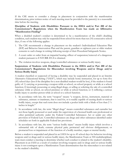If the CSE meets to consider a change in placement in conjunction with the manifestation determination**,** prior written notice of such meeting must be provided to the parent(s) in a reasonable time before the meeting.

#### **Discipline of Students with Disabilities Pursuant to the IDEA and/or Part 200 of the Commissioner's Regulations when the Manifestation Team has made an Affirmative "Manifestation Finding"**

When a disabled student's conduct is determined to be a manifestation of the child's disabling condition, such student may only be suspended from school for more than ten (10) consecutive school days, if one of the following applies:

- 1. The CSE recommends a change in placement on the student's Individualized Education Plan (IEP) and Behavior Intervention Plan and the parent, guardian or eighteen-year or older student consents to such change in writing following receipt of their Procedural Safeguards Notice.
- 2. A court order or order from an impartial hearing officer of suspension/removal of a dangerous student pursuant to 8 NYCRR 201.8 is obtained.
- 3. The violation involves weapons, drugs/controlled substances or serious bodily injury.

#### **Suspensions of Students with Disabilities Pursuant to the IDEA and/or Part 200 of the Commissioner's Regulations for Misconduct involving Weapons and/or Drugs and/or Serious Bodily Injury**

A student classified or suspected of having a disability may be suspended and placed in an Interim Alternative Educational Setting ("IAES"), which may include home instruction, for up to forty-five (45) school days (less if the discipline for a non-disabled student would be less), if the student is found guilty of: 1) carrying or possessing a weapon while at school, on school property or while at a school function; 2) knowingly possessing or using illegal drugs, or selling or soliciting the sale of a controlled substance while at school, on school premises or while at school function; or 3) inflicting a serious bodily injury to another person while at school or a school function.

- 1. In accordance with law, the term "weapon" means "a weapon, device, instrument, material or substance, animate or inanimate, that is used for, or is readily capable of causing death or serious bodily injury, except that such term does not include a pocket knife with a blade of less than 2 ½ inches in length."
- 2. In accordance with law, the term "illegal drugs" means controlled substances and cannabis but not those legally possessed or used under the supervision of a licensed health care professional or other permitted authority under the Federal Controlled Substances Act or under any other provision of Federal Law. Controlled substances are drugs and other substances identified under schedules set forth in applicable Federal law provisions.
- 3. In accordance with law, the term "serious bodily injury" means bodily injury which involves a substantial risk of death; extreme physical pain; protracted and obvious disfigurement; or protracted loss or impairment of the function of a bodily member, organ or mental faculty.

Before a student is suspended and placed in an IAES for up to 45 school days for behavior involving weapons and/or drugs and/or serious bodily injury, the Manifestation Team or 504 multidisciplinary team must conduct a meeting to determine whether such conduct is related to the student's disability. Placement in an IAES as a result of conduct involving weapons and/or drugs and/or serious bodily injury is not contingent upon a Manifestation Team determination that the misconduct is not related to the student's disability.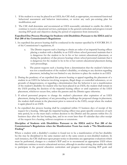- 1. If the student is or may be placed in an IAES, the CSE shall, as appropriate, recommend functional behavioral assessment and behavior intervention, or review any such pre-existing plan for modification; and
- 2. The CSE shall determine and recommend an IAES reasonably calculated to enable the child to continue to receive educational services, participate in the general curriculum and progress toward meeting IEP goals and objectives during the period of suspension from instruction.

#### **Expedited Due Process Hearings for Students with Disabilities Pursuant to the IDEA and/or Part 200 of the Commissioner's Regulations**

- 1. An expedited due process hearing shall be conducted in the manner specified by 8 NYCRR 201.11 of the Commissioner's regulations, if:
	- a. The District requests such a hearing to obtain an order of an impartial hearing officer placing a student with a disability in an IAES where school personnel maintain that it is dangerous for the student to be in his or her current educational placement, or during the pendency of due process hearings where school personnel maintain that it is dangerous for the student to be in his or her current educational placement during such proceedings.
	- b. The parent requests such a hearing from a determination that the student's behavior was not a manifestation of the student's disability, or relating to any decision regarding placement, including but not limited to any decision to place the student in an IAES.
- 2. During the pendency of an expedited due process hearing or appeal regarding the placement of a student in an IAES for behavior involving weapons, illegal drugs or controlled substances, or on grounds of dangerousness, or regarding a determination that the behavior is not a manifestation of the student's disability for student who has been placed in an IAES, the student shall remain in the IAES pending the decision of the impartial hearing officer or until expiration of the IAES placement, whichever occurs first, unless the parents and the District agree otherwise.
- 3. If school personnel propose to change the student's placement after expiration of an IAES placement, during the pendency of any proceeding to challenge the proposed change in placement, the student shall remain in the placement prior to removal to the IAES, except where the student is again placed in an IAES.
- 4. An expedited due process hearing shall be completed within 15 business days of receipt of the request for a hearing. Although the impartial hearing officer may grant specific extensions of such time period, he or she must mail a written decision to the District and the parents within five (5) business days after the last hearing date, and in no event later than 45 calendar days after receipt of the request for a hearing, without exceptions or extensions.

#### **Discipline of Students with Disabilities Pursuant to the IDEA and/or Part 200 of the Commissioner's Regulations when the Manifestation Team has made a "No Manifestation Finding"**

Where a student with a disability's conduct is found not to be a manifestation of his/her disability he/she may be disciplined in the same manner and to the same extent as non-disabled students. In such instances, the CSE shall meet upon proper notice to determine any appropriate evaluations which must be performed, changes to a student's IEP and/or to recommend an appropriate IAES where the child can continue to receive educational services, although in another setting, that enable the child to participate in the general education curriculum and progress toward meeting IEP goals and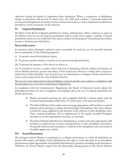objectives during the period of suspension from instruction. Where a suspension or disciplinary change in placement will exceed 10 school days, the CSE shall conduct a functional behavioral assessment and implement or modify a behavior intervention plan, as well as implement modifications intended to avoid a recurrence of the behavior.

#### **XI**. **Corporal Punishment**

The Rules of the Board of Regents prohibit any teacher, administrator, officer, employee or agent of the District from the use of corporal punishment and/or verbal abuse against a student. Corporal punishment means any act of physical force upon a student for the purpose of punishing that student, except as otherwise provided below.

#### **Physical Restraints**:

In situations where alternative methods cannot reasonably be used, the use of reasonable physical force is permitted, for the following purposes:

- (i) To protect oneself from physical injury;
- (ii) To protect another student or teacher or any person from physical injury;
- (iii) To protect the property of the school or others; or

(iv) To restrain or remove a student whose behavior is interfering with the orderly performance of school District functions, powers and duties, if that student has refused to comply with a request to refrain from further disruptive acts. In such cases, an administrator or designee will be authorized to remove such student from the school District function.

The use of aversive intervention is also prohibited, except in specific cases, subject to compliance with the procedures set out in the Commissioner's Regulations.

In compliance with the Commissioner's Regulations, the Board of Education hereby adopts the following procedures for the investigation of complaints about the use of corporal punishment by District personnel.

- District personnel receiving any such complaint shall file a written report with the Assistant Superintendent within three (3) school days of the reported incident.
- The School District shall conduct and encourage appropriate staff members to attend seminars and workshops to update their knowledge of disciplinary rules and to discuss in detail the scope, application and elements of the offenses of such disciplinary rules. These seminar/workshops will be implemented in the regular monthly Principal's meetings or at other appropriate occasions, as necessary.
- The School District shall direct its administrators, teachers and other appropriate staff members to explain in any records, correspondence or other disciplinary documents, the specific behavior that constitutes a violation of the disciplinary rules and results in discipline against any student.

#### **XII. Sexual Harassment**

The Irvington School District is committed to a collegial environment in which all individuals are treated with respect and dignity. Each individual has the right to work and study in an atmosphere that promotes equal opportunities and prohibits discriminatory practices, including sexual harassment. Therefore, the School District expects that all relationships among persons in the School District,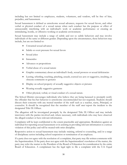including but not limited to employees, students, volunteers, and vendors, will be free of bias, prejudice, and harassment.

Sexual harassment is defined as unwelcome sexual advances, requests for sexual favors, and other verbal or physical conduct of a sexual nature when such conduct has the purpose or effect of unreasonably interfering with an individual's work or academic performance or creating an intimidating, hostile, or offensive working or academic environment.

Sexual harassment may include a range of subtle and not so subtle behaviors and may involve individuals of the same or different gender. Depending upon the circumstances, these behaviors may include, but are not limited to:

- Unwanted sexual advances
- Subtle or overt pressure for sexual favors
- Sexual jokes
- Innuendos
- Advances or propositions
- Verbal abuse of a sexual nature
- Graphic commentary about an individual's body, sexual prowess or sexual deficiencies
- Leering, whistling, touching, pinching, assault, coerced sex acts or suggestive, insulting, or obscene comments or gestures
- Display on school property of sexually suggestive objects or pictures
- Wearing sexually suggestive garments
- Other physical, verbal, or visual conduct of a sexual nature.

The School District encourages individuals who believe they are being harassed to promptly notify the offender that his/her behavior is unwelcome (recommended but not required). Students should discuss their concerns with any trusted member of the staff such as a teacher, nurse, Principal, or counselor. It should be recognized that the member of the staff *must* report the incident to the designated Title IX Officer.

The allegation will be investigated promptly by the designated Title IX Officer and may include interviews with the parties involved and, where necessary, with individuals who may have observed the alleged conduct or have relevant information.

Complaints will be kept confidential to the extent practicable and appropriate. Retaliation against an individual for reporting sexual harassment or in assisting in providing relevant information is a serious violation of this policy and will be treated with strict discipline.

Responsive action to sexual harassment may include: training, referral to counseling, and/or a range of disciplinary action including school suspension or termination of an employee.

If a party does not agree with the resolution of a complaint, that party may file written comments with the Superintendent. If the party does not agree with the Superintendent's resolution of the matter, the party may refer the matter to the President of the Board of Education for consideration by the entire Board of Education. A complainant has the legal right to file a complaint with the U.S. Equal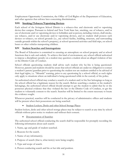Employment Opportunity Commission, the Office of Civil Rights of the Department of Education, and other agencies that enforce laws concerning discrimination.

#### **XIII. Smoking/Tobacco/Vaporizing Devices**

Each school of the Irvington School District is a tobacco-free and electronic and/or vaporizing device-free campus. Pursuant to federal and New York State law, smoking, use of tobacco, and/or use of electronic and/or vaporizing devices is forbidden and *no* person, including visitors, shall smoke, use tobacco, and/or use electronic and/or vaporizing devices, and no student shall possess such devices or tobacco, on school grounds (i.e., any school facility, building, structure, and surrounding outside grounds within the school's property), at school sponsored activities and field trips, on school buses or other vehicles transporting children.

#### **XIV**. **Student Searches and Interrogations**

The Board of Education is committed to ensuring an atmosphere on school property and at school functions that is safe and orderly. To achieve this kind of environment, any school official authorized to impose a disciplinary penalty on a student may question a student about an alleged violation of law or the District Code of Conduct.

School officials questioning students shall advise such student why he/she is being questioned. However, parents and students should be aware that school officials are under no obligation to contact a student's parent/guardian prior to questioning the student nor are students entitled to be advised of their legal rights, i.e. "Miranda" warning, prior to any questioning by a school official, as such rights only apply to situations where an individual is being questioned while in the custody of the police.

An authorized school official may conduct a search of a student and/or his/her belongings so long as the school official has a legitimate reason for the search. Before searching a student or the student's belongings, the authorized school official should attempt to get the student to admit that he or she possesses physical evidence that they violated the law or the District Code of Conduct, or get the student to voluntarily consent to the search. Searches will be limited to the extent necessary to locate the evidence sought.

Whenever practical, searches will be conducted in the privacy of administrative offices and students will be present when their possessions are being searched.

Student Lockers, Desks and other School Storage Places

Student lockers, desks and other school storage places may be subject to search at any time by school officials without prior notice to students and without their consent.

• Documentation of Searches

The authorized school official conducting the search shall be responsible for promptly recording the following information about each search:

- 1. Name, age and grade of student searched.
- 2. Reasons for the search.
- 3. Name of any informant(s).
- 4. Purpose of search (that is, what item(s) were being sought).
- 5. Type and scope of search.
- 6. Person conducting search and his or her title and position.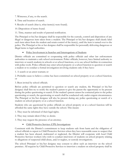- 7. Witnesses, if any, to the search.
- 8. Time and location of search.
- 9. Results of search (that is, what items(s) were found).
- 10. Disposition of items found.
- 11. Time, manner and results of parental notification.

The Principal or his/her designee shall be responsible for the custody, control and disposition of any illegal or dangerous item taken from a student. The Principal or his/her designee shall clearly label each item taken from the student and retain control of the item(s), until the item is turned over to the police. The Principal or his or her designee shall be responsible for personally delivering dangerous or illegal items to legal authorities.

• Police Involvement in Searches and Interrogations of Students

District officials are committed to cooperating with police officials and other law enforcement authorities to maintain a safe school environment. Police officials, however, have limited authority to interview or search students in schools or at school functions, or to use school facilities in connection with police work. Police officials may enter school property or a school function to question or search a student or to conduct a formal investigation involving students only if they have:

1. A search or an arrest warrant; or

2. Probable cause to believe a crime has been committed on school property or at a school function; or

3. Been invited by school officials.

Before police officials are permitted to question or search any student, the Principal or his/her designee shall first try to notify the student's parent to give the parent the opportunity to be present during the police questioning or search. If the student's parent cannot be contacted prior to the police questioning or search, the questioning or search shall be conducted only under exigent circumstances. The Principal or his/her designee will also be present during any police questioning or search of a student on school property or at a school function.

Students who are questioned by police officials on school property or at a school function will be afforded the same rights they have outside the school. This means:

- 1. They must be informed of their legal rights.
- 2. They may remain silent if they so desire.
- 3. They may request the presence of an attorney.
	- Child Protective Services (CPS) Investigations

Consistent with the District's commitment to keep students safe from harm and the obligation of school officials to report to Child Protective Services when they have reasonable cause to suspect that a student has been abused, maltreated or neglected, the District will cooperate with local Child Protective Services workers who wish to conduct interviews of students on school property relating to allegations of suspected child abuse, and/or neglect, or custody investigations.

The school Principal or his/her designee may consent to allow such an interview on the school premises. All requests by Child Protective Services to interview a student on school property shall be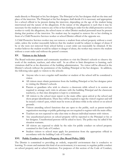made directly to Principal or his/her designee. The Principal or his/her designee shall set the time and place of the interview. The Principal or his/her designee shall decide if it is necessary and appropriate for a school official to be present during the interview, depending on the age of the student being interviewed and the nature of the allegations. If the nature of the allegations is such that it may be necessary for the student to remove any of his or her clothing in order for the child protective services worker to verify the allegations, the school nurse or other District medical personnel must be present during that portion of the interview. No student may be required to remove his or her clothing in front of a Child Protective Services worker or school District official of the opposite sex.

A Child Protective Services worker may not remove a student from school property without a court order, unless the worker reasonably believes that the student would be subject to danger of abuse if he or she were not removed from school before a court order can reasonably be obtained. If the worker believes the student would be subject to danger of abuse, the worker may remove the student without a court order and without the parent's consent.

#### **XV. Visitors to the Schools**

The Board welcomes parents and community members to visit the District's schools to observe the work of the students, teachers, and other staff. In an effort to limit disruptions to learning, such visitations shall be at the discretion of the building administration. No visitor will be allowed in the District's schools without the permission of the building Principal or his/her designee. In addition, the following rules apply to visitors to the schools:

- Anyone who is not a regular staff member or student of the school will be considered a visitor.
- All visitors must obtain permission from the building Principal or his/her designee prior to visiting the District's schools.
- Parents or guardians who wish to observe a classroom while school is in session are required to arrange such visits in advance with the building Principal and the classroom teacher(s), so that class disruption is kept to a minimum.
- All visitors to the school must report to the main office upon arrival at the school and show proper identification. There they will be required to sign the visitor's register and will be issued a visitor's pass, which must be worn at all times while in the school or on school grounds.
- Visitors attending school functions that are open to the public, such as parent-teacher organization meetings or public gatherings are not required to register with the main office.
- Teachers are not expected to take class time to discuss individual matters with visitors.
- Any unauthorized person on school property will be reported to the Principal or his or her designee. Unauthorized persons will be asked to leave. The police may be called if the situation warrants.
- All visitors are expected to abide by the rules for public conduct on school property contained in this Code of Conduct.
- Student visitors to school must apply for permission from the appropriate official in accordance with the building Code of Conduct.

#### **XVI. Public Conduct on School Property (See Board Policy 3282)**

The District is committed to providing an orderly, respectful environment that is conducive to learning. To create and maintain this kind of an environment, it is necessary to regulate public conduct on school property and at school functions. For purposes of this section of the Code of Conduct,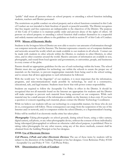"public" shall mean all persons when on school property or attending a school function including students, teachers and District personnel.

The restrictions on public conduct on school property and at school functions contained in this Code of Conduct are not intended to limit freedom of speech or peaceful assembly. The District recognizes that free inquiry and free expression are indispensable to the objectives of the District. The purpose of this Code of Conduct is to maintain public order and prevent abuse of the rights of others. All persons on school property or attending a school function shall conduct themselves in a respectful and orderly manner and must adhere to the guidelines set forth in section IV of this Code of Conduct.

#### **XVII. Misuse of Electronic Media**

Students in the Irvington School District are now able to receive vast amounts of information through our computer networks and the Internet. The Internet represents a massive set of computer databases and networks around the world, which are made available to our students in all schools. Contact can be made with students in other schools within the District, to students in other Districts, in other cities, and in other countries around the world. Massive amounts of information are available in text, photographs, and sound from local agencies and governments, to universities, people, and businesses in every corner of the globe.

Parents should set appropriate guidelines for the use of such technology within the home. The school District must also set guidelines for technology use within the schools to assure the proper use of materials on the Internet, to prevent inappropriate materials from being used in the school setting, and to ensure that all laws appropriate to such information be followed.

With the world now "at the fingertips" of our students, it is most important that the information, programs, and telecommunications made possible by technology, be used in a constructive, educational, safe, and legal manner. Students must know that with power comes responsibility.

Students are required to follow the Acceptable Use Policy in effect in the District. It should be recognized that not all materials found on the Internet are appropriate for students and the District will make attempts to prevent such material from being accessed on our computers. While such material may be a small amount of the information available on the Internet, it does exist. If you have a question or concern regarding such material, please contact the District Technology Coordinator.

While we believe our students will use our technology in a responsible manner, for those who do not do so, consequences will follow. Those consequences can range from the suspension of the use of the Internet and/or network, and/or computers within the school District, to a Superintendent's hearing.

Police will be notified if an electronic media crime has taken place.

Photography: Taking photographs on school grounds, during school hours, using a video camera, digital camera, cell phone, or any other photographic device, without the consent of those individual(s) being videotaped/photographed or without an otherwise valid school purpose, is prohibited. Prior to taking video/photographs for any other reason, using any of the above methods, consent shall be obtained from the building Principal or his/her designee.

#### **XVIII. Use of Electronic Devices**

**Cell Phones, I-Pods and other Electronic Devices:** The use of these items by students will be subject to the discretion of the building Principal or his/her designee. Cross Reference Policy #3160 - Acceptable Use and Policy # 7316 - Cell Phone Policy.

#### **XIX**. **Dissemination of Code of Conduct**: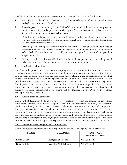The District will work to ensure that the community is aware of this Code of Conduct by:

- 1. Posting the complete Code of Conduct on the District website, including any annual updates and other amendments to the Code;
- 2. Providing copies of a summary of the Code of Conduct to all students in an age-appropriate version, written in plain language, and reviewing the Code of Conduct at a school assembly to be held at the beginning of each school year;
- 3. Providing a plain language summary of the Code of Conduct to all parents or persons in parental relation to students before the beginning of each school year and making the summary available thereafter upon request;
- 4. Providing each existing teacher with a copy of the complete Code of Conduct and a copy of any amendments to the Code as soon as practicable following initial adoption or amendment of the Code. New teachers shall be provided a complete copy of the current Code upon their employment; and
- 5. Making complete copies available for review by students, parents or persons in parental relation to students, other school staff and other community members.

#### **XX. In-Service Education**

The Board will sponsor an in-service education program for all District staff members to ensure the effective implementation of school policy on school conduct and discipline, including but not limited to, guidelines on promoting a safe and supportive school climate while discouraging, among other things, discrimination or harassment against students by students and/or school employees; and including safe and supportive school climate concepts in the curriculum and classroom management. The Superintendent may solicit the recommendations of the District staff, particularly teachers and administrators, regarding in-service programs pertaining to the management and discipline of students. On-going professional development will be included in the District's professional development plan, as needed.

#### **XXI. Community of Acceptance**

The Board of Education believes we have a responsibility to focus on creating an educational environment that is a community of acceptance, free of hostile or harassing conduct (verbal, physical, graphic or written), and discrimination among students, teachers, administrators, staff, and parents. This policy of nondiscrimination includes, but is not limited to: creating a community of acceptance that provides opportunities in the curriculum, classroom, sports, after-school activities, and a character education program to explore and celebrate differences and strengths of culture, race, color, weight, national origin, ethnic group, religion, religious practice, disability, sexual orientation, gender and other differences, to examine and appreciate respective contributions to society, history and scholarship.

#### **XXII. Identification of Dignity Act Coordinators**

The following staff members have been appointed by the Board as Dignity Act Coordinators:

| <b>NAME</b>   | <b>BUILDING</b>         | <b>CONTACT</b><br><b>INFORMATION</b> |
|---------------|-------------------------|--------------------------------------|
| David Cohen   | Irvington High School   | 914-269-5412                         |
| David Sottile | Irvington Middle School | 914-269-5312                         |